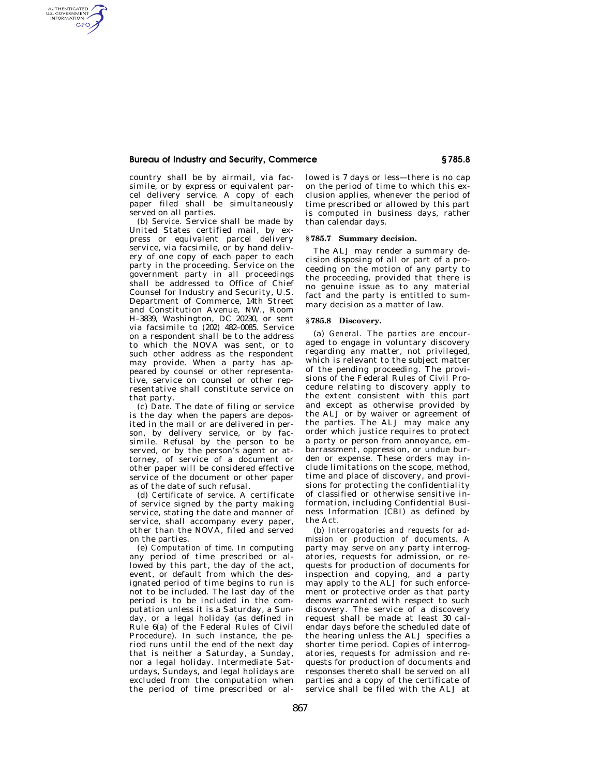# **Bureau of Industry and Security, Commerce § 785.8**

country shall be by airmail, via facsimile, or by express or equivalent parcel delivery service. A copy of each paper filed shall be simultaneously served on all parties.

AUTHENTICATED<br>U.S. GOVERNMENT<br>INFORMATION **GPO** 

> (b) *Service.* Service shall be made by United States certified mail, by express or equivalent parcel delivery service, via facsimile, or by hand delivery of one copy of each paper to each party in the proceeding. Service on the government party in all proceedings shall be addressed to Office of Chief Counsel for Industry and Security, U.S. Department of Commerce, 14th Street and Constitution Avenue, NW., Room H–3839, Washington, DC 20230, or sent via facsimile to (202) 482–0085. Service on a respondent shall be to the address to which the NOVA was sent, or to such other address as the respondent may provide. When a party has appeared by counsel or other representative, service on counsel or other representative shall constitute service on that party.

> (c) *Date.* The date of filing or service is the day when the papers are deposited in the mail or are delivered in person, by delivery service, or by facsimile. Refusal by the person to be served, or by the person's agent or attorney, of service of a document or other paper will be considered effective service of the document or other paper as of the date of such refusal.

> (d) *Certificate of service.* A certificate of service signed by the party making service, stating the date and manner of service, shall accompany every paper, other than the NOVA, filed and served on the parties.

> (e) *Computation of time.* In computing any period of time prescribed or allowed by this part, the day of the act, event, or default from which the designated period of time begins to run is not to be included. The last day of the period is to be included in the computation unless it is a Saturday, a Sunday, or a legal holiday (as defined in Rule 6(a) of the Federal Rules of Civil Procedure). In such instance, the period runs until the end of the next day that is neither a Saturday, a Sunday, nor a legal holiday. Intermediate Saturdays, Sundays, and legal holidays are excluded from the computation when the period of time prescribed or al

lowed is 7 days or less—there is no cap on the period of time to which this exclusion applies, whenever the period of time prescribed or allowed by this part is computed in business days, rather than calendar days.

#### **§ 785.7 Summary decision.**

The ALJ may render a summary decision disposing of all or part of a proceeding on the motion of any party to the proceeding, provided that there is no genuine issue as to any material fact and the party is entitled to summary decision as a matter of law.

## **§ 785.8 Discovery.**

(a) *General.* The parties are encouraged to engage in voluntary discovery regarding any matter, not privileged, which is relevant to the subject matter of the pending proceeding. The provisions of the Federal Rules of Civil Procedure relating to discovery apply to the extent consistent with this part and except as otherwise provided by the ALJ or by waiver or agreement of the parties. The ALJ may make any order which justice requires to protect a party or person from annoyance, embarrassment, oppression, or undue burden or expense. These orders may include limitations on the scope, method, time and place of discovery, and provisions for protecting the confidentiality of classified or otherwise sensitive information, including Confidential Business Information (CBI) as defined by the Act.

(b) *Interrogatories and requests for admission or production of documents.* A party may serve on any party interrogatories, requests for admission, or requests for production of documents for inspection and copying, and a party may apply to the ALJ for such enforcement or protective order as that party deems warranted with respect to such discovery. The service of a discovery request shall be made at least 30 calendar days before the scheduled date of the hearing unless the ALJ specifies a shorter time period. Copies of interrogatories, requests for admission and requests for production of documents and responses thereto shall be served on all parties and a copy of the certificate of service shall be filed with the ALJ at